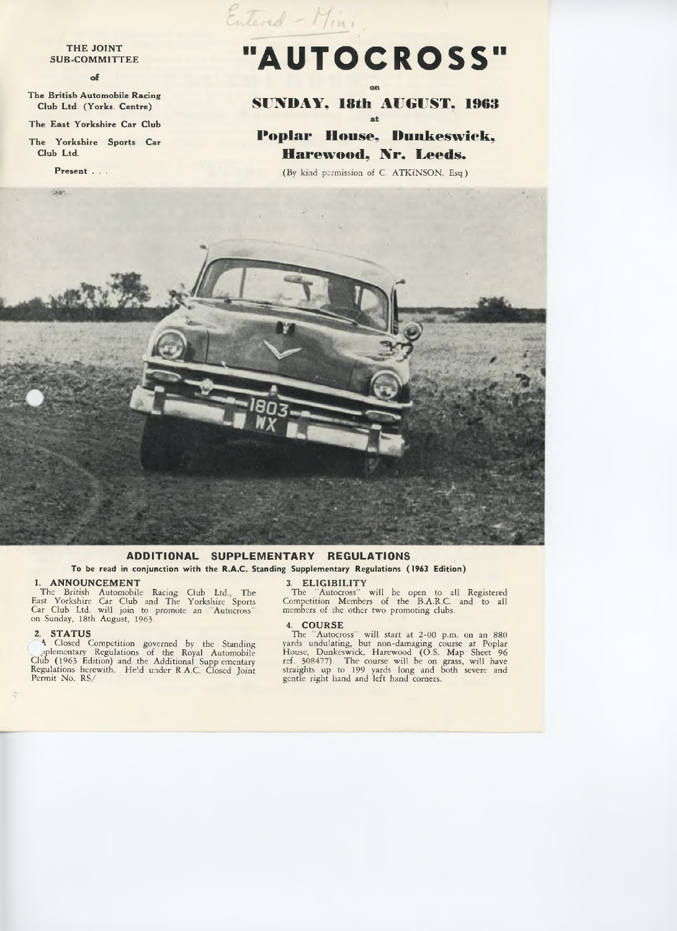## **THE JOINT SUB-COMMITTEE**

#### of

**The British Automobile Racing Club Ltd. (Yorks. Centre)**

**The East Yorkshire Car Club**

**The Yorkshire Sports Car Club Ltd.**

**Present . . .**

# **■I**AUTOCROSS **ii**

Entered - Mini.

# **SUNDAY, 18th AUGUST, 1963** at

**Poplar House, Dunkeswick, Hare wood, Nr. Leeds.**

(By kind permission of C. ATKINSON, Esq )



## ADDITIONAL SUPPLEMENTARY REGULATIONS

To be read in conjunction with the R.A.C. Standing Supplementary Regulations (1963 Edition)

**1. ANNOUNCEMENT**<br>The British Automobile Racing Club Ltd., The<br>East Yorkshire Car Club and The Yorkshire Sports<br>Car Club Ltd. will join to promote an "Autocross"<br>on Sunday, 18th August, 1963.

**2. STATUS**<br>A Closed Competition governed by the Standing<br>plementary Regulations of the Royal Automobile<br>Club (1963 Edition) and the Additional Supp ementary<br>Regulations herewith. He'd under R.A.C. Closed Joint<br>Permit No.

**3 ELIGIBILITY** The 'Autocross" will be open to all Registered Competition Members of the B.A.R.C. and to all members of the other two promoting clubs.

4. **COURSE**<br>The "Autocross" will start at 2-00 p.m. on an 880<br>yards undulating, but non-damaging course at Poplar<br>House, Dunkeswick, Harewood (O.S. Map Sheet 96<br>ref. 308477). The course will be on grass, will have<br>straight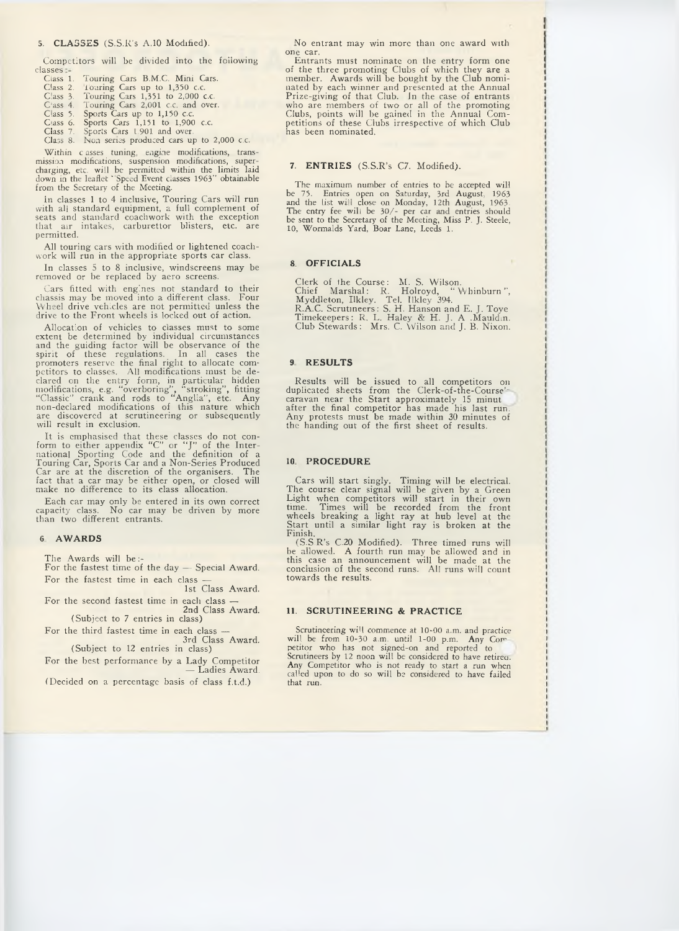### 5. **CLASSES** (S.S.R's A.10 Modified).

Competitors will be divided into the following<br>classes -<br>Class 1. Touring Cars B.M.C. Mini Cars.<br>Class 2. Touring Cars up to 1,350 c.c.<br>Class 3. Touring Cars 1,351 to 2,000 c.c.<br>Class 5. Sports Cars up to 1,150 c.c.<br>Class

- 
- 
- 
- 

Within c asses tuning, eagine modifications, transmission modifications, suspension modifications, supercharging, etc. will be permitted within the limits laid down in the leaflet "Speed Event classes 1963" obtainable from

In classes 1 to 4 inclusive, Touring Cars will run with all standard equipment, a full complement of seats and standard coachwork with the exception that air intakes, carburettor blisters, etc. are permitted.

All touring cars with modified or lightened coach-work will run in the appropriate sports car class.

In classes 5 to 8 inclusive, windscreens may be removed or be replaced by aero screens.

Cars fitted with engines not standard to their chassis may be moved into a different class. Four Wheel drive vehicles are not permitted unless the drive to the F ront wheels is locked out of action. Allocation of vehicles

Procedure determined by individual circumstances<br>are the determined by individual circumstances<br>and the guiding factor will be observance of the<br>spirit of these regulations. In all cases the<br>promoters reserve the final rig

It is emphasised that these classes do not con-<br>form to either appendix "C" or "J" of the Inter-<br>national Sporting Code and the definition of a<br>Touring Car, Sports Car and a Non-Series Produced<br>Car are at the discretion of

Each car may only be entered in its own correct capacity class. No car may be driven by more than two different entrants.

#### **6 AW AR DS**

The Awards will be:-<br>For the fastest time of the day  $-$  Special Award.

For the fastest time in each class  $-$ <br>1st Class Award.

For the second fastest time in each class  $-$ <br>2nd Class Award.<br>(Subject to 7 entries in class)

For the third fastest time in each class —<br>3rd Class Award.<br>(Subject to 12 entries in class)

For the best performance by a Lady Competitor  $-$  Ladies Award.

(Decided on a percentage basis of class f.t.d.)

No entrant may win more than one award with<br>one car.

Entrants must nominate on the entry form one<br>of the three promoting Clubs of which they are a<br>member. Awards will be bought by the Club nomi-<br>nated by each winner and presented at the Annual<br>Prize-giving of that Club. In t

## 7. ENTRIES (S.S.R's C7. Modified).

The maximum number of entries to be accepted will<br>be 75. Entries open on Saturday, 3rd August, 1963<br>and the list will close on Monday, 12th August, 1963<br>The entry fee will be 30/- per car and entries should<br>be sent to the

#### **8 OFFICIALS**

Clerk of the Course: M. S. Wilson.<br>Chief Marshal: R. Holroyd, "Whinburn",<br>Myddleton, Ilkley. Tel. Ilkley 394.<br>R.A.C. Scruttneers: S. H. Hanson and E. J. Toye<br>Timekeepers: R. L. Haley & H. J. A .Mauld.n.<br>Club Stewards: Mrs.

#### **9 RESULTS**

Results will be issued to all competitors on<br>duplicated sheets from the Clerk-of-the-Course'-<br>caravan near the Start approximately 15 minut<br>after the final competitor has made his last run.<br>Any protests must be made within

#### **10 PROCEDURE**

Cars will start singly. Timing will be electrical.<br>The course clear signal will be given by a Green<br>Light when competitors will start in their own<br>time. Times will be recorded from the front<br>wheels breaking a light ray at

#### **11. SCRUTINEERING & PRACTICE**

Scrutineering will commence at 10-00 a.m. and practice<br>will be from 10-30 a.m. until 1-00 p.m. Any Com-<br>petitor who has not signed-on and reported to<br>Scrutineers by 12 noon will be considered to have retired.<br>Any Competito